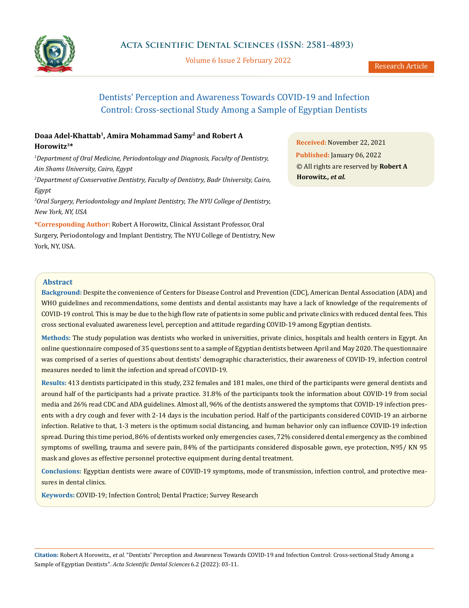

Volume 6 Issue 2 February 2022

# Dentists' Perception and Awareness Towards COVID-19 and Infection Control: Cross-sectional Study Among a Sample of Egyptian Dentists

# **Doaa Adel-Khattab1, Amira Mohammad Samy2 and Robert A Horowitz3\***

*1 Department of Oral Medicine, Periodontology and Diagnosis, Faculty of Dentistry, Ain Shams University, Cairo, Egypt*

*2 Department of Conservative Dentistry, Faculty of Dentistry, Badr University, Cairo, Egypt*

*3 Oral Surgery, Periodontology and Implant Dentistry, The NYU College of Dentistry, New York, NY, USA*

**\*Corresponding Author:** Robert A Horowitz, Clinical Assistant Professor, Oral Surgery, Periodontology and Implant Dentistry, The NYU College of Dentistry, New York, NY, USA.

**Received:** November 22, 2021 **Published:** January 06, 2022 © All rights are reserved by **Robert A Horowitz***., et al.*

# **Abstract**

**Background:** Despite the convenience of Centers for Disease Control and Prevention (CDC), American Dental Association (ADA) and WHO guidelines and recommendations, some dentists and dental assistants may have a lack of knowledge of the requirements of COVID-19 control. This is may be due to the high flow rate of patients in some public and private clinics with reduced dental fees. This cross sectional evaluated awareness level, perception and attitude regarding COVID-19 among Egyptian dentists.

**Methods:** The study population was dentists who worked in universities, private clinics, hospitals and health centers in Egypt. An online questionnaire composed of 35 questions sent to a sample of Egyptian dentists between April and May 2020. The questionnaire was comprised of a series of questions about dentists' demographic characteristics, their awareness of COVID-19, infection control measures needed to limit the infection and spread of COVID-19.

**Results:** 413 dentists participated in this study, 232 females and 181 males, one third of the participants were general dentists and around half of the participants had a private practice. 31.8% of the participants took the information about COVID-19 from social media and 26% read CDC and ADA guidelines. Almost all, 96% of the dentists answered the symptoms that COVID-19 infection presents with a dry cough and fever with 2-14 days is the incubation period. Half of the participants considered COVID-19 an airborne infection. Relative to that, 1-3 meters is the optimum social distancing, and human behavior only can influence COVID-19 infection spread. During this time period, 86% of dentists worked only emergencies cases, 72% considered dental emergency as the combined symptoms of swelling, trauma and severe pain, 84% of the participants considered disposable gown, eye protection, N95/ KN 95 mask and gloves as effective personnel protective equipment during dental treatment.

**Conclusions:** Egyptian dentists were aware of COVID-19 symptoms, mode of transmission, infection control, and protective measures in dental clinics.

**Keywords:** COVID-19; Infection Control; Dental Practice; Survey Research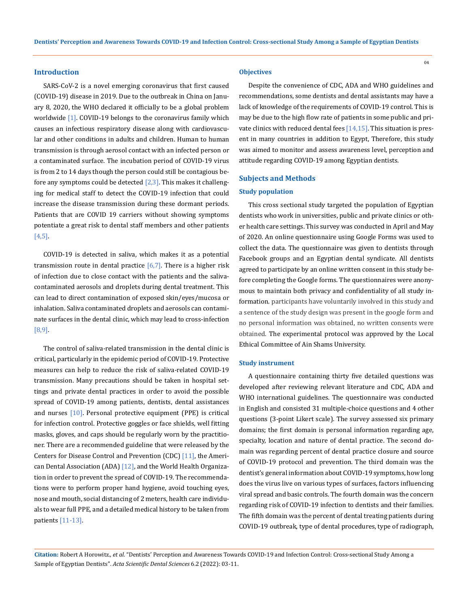### **Introduction**

SARS-CoV-2 is a novel emerging coronavirus that first caused (COVID-19) disease in 2019. Due to the outbreak in China on January 8, 2020, the WHO declared it officially to be a global problem worldwide [1]. COVID-19 belongs to the coronavirus family which causes an infectious respiratory disease along with cardiovascular and other conditions in adults and children. Human to human transmission is through aerosol contact with an infected person or a contaminated surface. The incubation period of COVID-19 virus is from 2 to 14 days though the person could still be contagious before any symptoms could be detected  $[2,3]$ . This makes it challenging for medical staff to detect the COVID-19 infection that could increase the disease transmission during these dormant periods. Patients that are COVID 19 carriers without showing symptoms potentiate a great risk to dental staff members and other patients [4,5].

COVID-19 is detected in saliva, which makes it as a potential transmission route in dental practice  $[6,7]$ . There is a higher risk of infection due to close contact with the patients and the salivacontaminated aerosols and droplets during dental treatment. This can lead to direct contamination of exposed skin/eyes/mucosa or inhalation. Saliva contaminated droplets and aerosols can contaminate surfaces in the dental clinic, which may lead to cross-infection [8,9].

The control of saliva-related transmission in the dental clinic is critical, particularly in the epidemic period of COVID-19. Protective measures can help to reduce the risk of saliva-related COVID-19 transmission. Many precautions should be taken in hospital settings and private dental practices in order to avoid the possible spread of COVID-19 among patients, dentists, dental assistances and nurses [10]. Personal protective equipment (PPE) is critical for infection control. Protective goggles or face shields, well fitting masks, gloves, and caps should be regularly worn by the practitioner. There are a recommended guideline that were released by the Centers for Disease Control and Prevention (CDC) [11], the American Dental Association (ADA)  $[12]$ , and the World Health Organization in order to prevent the spread of COVID-19. The recommendations were to perform proper hand hygiene, avoid touching eyes, nose and mouth, social distancing of 2 meters, health care individuals to wear full PPE, and a detailed medical history to be taken from patients [11-13].

#### **Objectives**

Despite the convenience of CDC, ADA and WHO guidelines and recommendations, some dentists and dental assistants may have a lack of knowledge of the requirements of COVID-19 control. This is may be due to the high flow rate of patients in some public and private clinics with reduced dental fees  $[14,15]$ . This situation is present in many countries in addition to Egypt, Therefore, this study was aimed to monitor and assess awareness level, perception and attitude regarding COVID-19 among Egyptian dentists.

#### **Subjects and Methods**

#### **Study population**

This cross sectional study targeted the population of Egyptian dentists who work in universities, public and private clinics or other health care settings. This survey was conducted in April and May of 2020. An online questionnaire using Google Forms was used to collect the data. The questionnaire was given to dentists through Facebook groups and an Egyptian dental syndicate. All dentists agreed to participate by an online written consent in this study before completing the Google forms. The questionnaires were anonymous to maintain both privacy and confidentiality of all study information. participants have voluntarily involved in this study and a sentence of the study design was present in the google form and no personal information was obtained, no written consents were obtained. The experimental protocol was approved by the Local Ethical Committee of Ain Shams University.

#### **Study instrument**

A questionnaire containing thirty five detailed questions was developed after reviewing relevant literature and CDC, ADA and WHO international guidelines. The questionnaire was conducted in English and consisted 31 multiple-choice questions and 4 other questions (3-point Likert scale). The survey assessed six primary domains; the first domain is personal information regarding age, specialty, location and nature of dental practice. The second domain was regarding percent of dental practice closure and source of COVID-19 protocol and prevention. The third domain was the dentist's general information about COVID-19 symptoms, how long does the virus live on various types of surfaces, factors influencing viral spread and basic controls. The fourth domain was the concern regarding risk of COVID-19 infection to dentists and their families. The fifth domain was the percent of dental treating patients during COVID-19 outbreak, type of dental procedures, type of radiograph,

**Citation:** Robert A Horowitz*., et al.* "Dentists' Perception and Awareness Towards COVID-19 and Infection Control: Cross-sectional Study Among a Sample of Egyptian Dentists". *Acta Scientific Dental Sciences* 6.2 (2022): 03-11.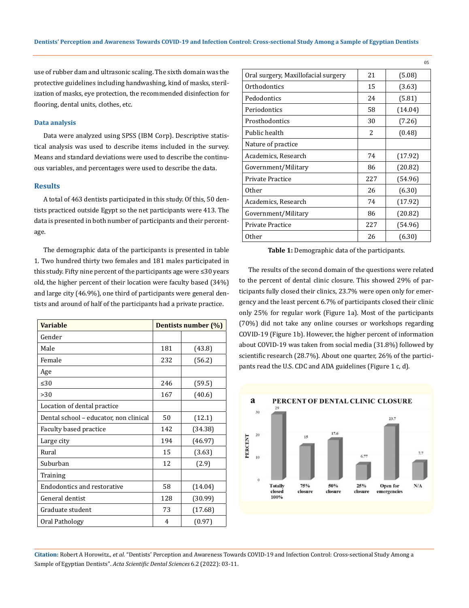use of rubber dam and ultrasonic scaling. The sixth domain was the protective guidelines including handwashing, kind of masks, sterilization of masks, eye protection, the recommended disinfection for flooring, dental units, clothes, etc.

### **Data analysis**

Data were analyzed using SPSS (IBM Corp). Descriptive statistical analysis was used to describe items included in the survey. Means and standard deviations were used to describe the continuous variables, and percentages were used to describe the data.

### **Results**

A total of 463 dentists participated in this study. Of this, 50 dentists practiced outside Egypt so the net participants were 413. The data is presented in both number of participants and their percentage.

The demographic data of the participants is presented in table 1. Two hundred thirty two females and 181 males participated in this study. Fifty nine percent of the participants age were ≤30 years old, the higher percent of their location were faculty based (34%) and large city (46.9%), one third of participants were general dentists and around of half of the participants had a private practice.

| <b>Variable</b>                        | Dentists number (%) |         |  |
|----------------------------------------|---------------------|---------|--|
| Gender                                 |                     |         |  |
| Male                                   | 181                 | (43.8)  |  |
| Female                                 | 232                 | (56.2)  |  |
| Age                                    |                     |         |  |
| $\leq 30$                              | 246                 | (59.5)  |  |
| >30                                    | 167                 | (40.6)  |  |
| Location of dental practice            |                     |         |  |
| Dental school - educator, non clinical | 50                  | (12.1)  |  |
| Faculty based practice                 | 142                 | (34.38) |  |
| Large city                             | 194                 | (46.97) |  |
| Rural                                  | 15                  | (3.63)  |  |
| Suburban                               | 12                  | (2.9)   |  |
| Training                               |                     |         |  |
| Endodontics and restorative            | 58                  | (14.04) |  |
| General dentist                        | 128                 | (30.99) |  |
| Graduate student                       | 73                  | (17.68) |  |
| Oral Pathology                         | 4                   | (0.97)  |  |

| Oral surgery, Maxillofacial surgery | 21  | (5.08)  |
|-------------------------------------|-----|---------|
| Orthodontics                        | 15  | (3.63)  |
| Pedodontics                         | 24  | (5.81)  |
| Periodontics                        | 58  | (14.04) |
| Prosthodontics                      | 30  | (7.26)  |
| Public health                       | 2   | (0.48)  |
| Nature of practice                  |     |         |
| Academics, Research                 | 74  | (17.92) |
| Government/Military                 | 86  | (20.82) |
| Private Practice                    | 227 | (54.96) |
| 0ther                               | 26  | (6.30)  |
| Academics, Research                 | 74  | (17.92) |
| Government/Military                 | 86  | (20.82) |
| Private Practice                    | 227 | (54.96) |
| 0ther                               | 26  | (6.30)  |
|                                     |     |         |

05

**Table 1:** Demographic data of the participants.

The results of the second domain of the questions were related to the percent of dental clinic closure. This showed 29% of participants fully closed their clinics, 23.7% were open only for emergency and the least percent 6.7% of participants closed their clinic only 25% for regular work (Figure 1a). Most of the participants (70%) did not take any online courses or workshops regarding COVID-19 (Figure 1b). However, the higher percent of information about COVID-19 was taken from social media (31.8%) followed by scientific research (28.7%). About one quarter, 26% of the participants read the U.S. CDC and ADA guidelines (Figure 1 c, d).

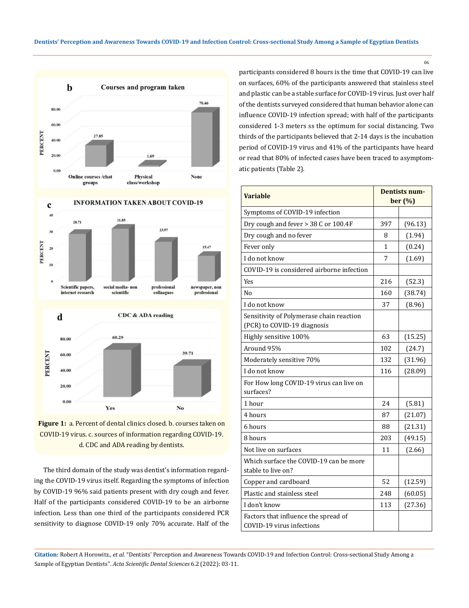



Yes **Figure 1:** a. Percent of dental clinics closed. b. courses taken on COVID-19 virus. c. sources of information regarding COVID-19. d. CDC and ADA reading by dentists.

No

20.00  $0.00$ 

The third domain of the study was dentist's information regarding the COVID-19 virus itself. Regarding the symptoms of infection by COVID-19 96% said patients present with dry cough and fever. Half of the participants considered COVID-19 to be an airborne infection. Less than one third of the participants considered PCR sensitivity to diagnose COVID-19 only 70% accurate. Half of the participants considered 8 hours is the time that COVID-19 can live on surfaces, 60% of the participants answered that stainless steel and plastic can be a stable surface for COVID-19 virus. Just over half of the dentists surveyed considered that human behavior alone can influence COVID-19 infection spread; with half of the participants considered 1-3 meters ss the optimum for social distancing. Two thirds of the participants believed that 2-14 days is the incubation period of COVID-19 virus and 41% of the participants have heard or read that 80% of infected cases have been traced to asymptomatic patients (Table 2).

| <b>Variable</b>                                                         | <b>Dentists num-</b><br>ber (%) |         |
|-------------------------------------------------------------------------|---------------------------------|---------|
| Symptoms of COVID-19 infection                                          |                                 |         |
| Dry cough and fever > 38 C or 100.4F                                    | 397                             | (96.13) |
| Dry cough and no fever                                                  | 8                               | (1.94)  |
| Fever only                                                              | 1                               | (0.24)  |
| I do not know                                                           | 7                               | (1.69)  |
| COVID-19 is considered airborne infection                               |                                 |         |
| <b>Yes</b>                                                              | 216                             | (52.3)  |
| No                                                                      | 160                             | (38.74) |
| I do not know                                                           | 37                              | (8.96)  |
| Sensitivity of Polymerase chain reaction<br>(PCR) to COVID-19 diagnosis |                                 |         |
| Highly sensitive 100%                                                   | 63                              | (15.25) |
| Around 95%                                                              | 102                             | (24.7)  |
| Moderately sensitive 70%                                                | 132                             | (31.96) |
| I do not know                                                           | 116                             | (28.09) |
| For How long COVID-19 virus can live on<br>surfaces?                    |                                 |         |
| 1 hour                                                                  | 24                              | (5.81)  |
| 4 hours                                                                 | 87                              | (21.07) |
| 6 hours                                                                 | 88                              | (21.31) |
| 8 hours                                                                 | 203                             | (49.15) |
| Not live on surfaces                                                    | 11                              | (2.66)  |
| Which surface the COVID-19 can be more<br>stable to live on?            |                                 |         |
| Copper and cardboard                                                    | 52                              | (12.59) |
| Plastic and stainless steel                                             | 248                             | (60.05) |
| I don't know                                                            | 113                             | (27.36) |
| Factors that influence the spread of<br>COVID-19 virus infections       |                                 |         |

**Citation:** Robert A Horowitz*., et al.* "Dentists' Perception and Awareness Towards COVID-19 and Infection Control: Cross-sectional Study Among a Sample of Egyptian Dentists". *Acta Scientific Dental Sciences* 6.2 (2022): 03-11.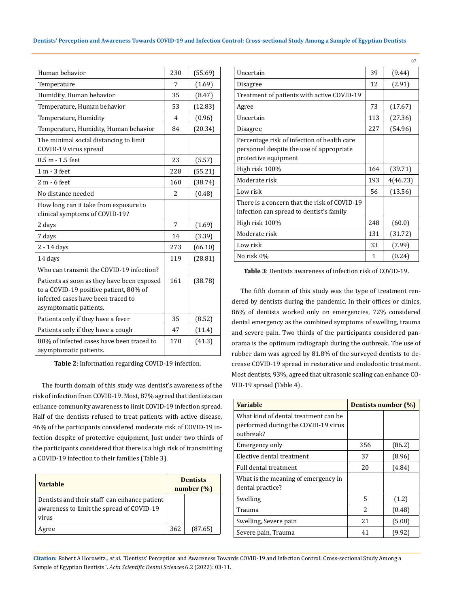| Dentists' Perception and Awareness Towards COVID-19 and Infection Control: Cross-sectional Study Among a Sample of Egyptian Dentists |  |  |  |  |
|--------------------------------------------------------------------------------------------------------------------------------------|--|--|--|--|
|--------------------------------------------------------------------------------------------------------------------------------------|--|--|--|--|

| Human behavior                                                                                                                                       | 230 | (55.69) |
|------------------------------------------------------------------------------------------------------------------------------------------------------|-----|---------|
| Temperature                                                                                                                                          | 7   | (1.69)  |
| Humidity, Human behavior                                                                                                                             | 35  | (8.47)  |
| Temperature, Human behavior                                                                                                                          | 53  | (12.83) |
| Temperature, Humidity                                                                                                                                | 4   | (0.96)  |
| Temperature, Humidity, Human behavior                                                                                                                | 84  | (20.34) |
| The minimal social distancing to limit<br>COVID-19 virus spread                                                                                      |     |         |
| $0.5 m - 1.5$ feet                                                                                                                                   | 23  | (5.57)  |
| 1 m - 3 feet                                                                                                                                         | 228 | (55.21) |
| $2 m - 6$ feet                                                                                                                                       | 160 | (38.74) |
| No distance needed                                                                                                                                   | 2   | (0.48)  |
| How long can it take from exposure to<br>clinical symptoms of COVID-19?                                                                              |     |         |
| 2 days                                                                                                                                               | 7   | (1.69)  |
| 7 days                                                                                                                                               | 14  | (3.39)  |
| 2 - 14 days                                                                                                                                          | 273 | (66.10) |
| 14 days                                                                                                                                              | 119 | (28.81) |
| Who can transmit the COVID-19 infection?                                                                                                             |     |         |
| Patients as soon as they have been exposed<br>to a COVID-19 positive patient, 80% of<br>infected cases have been traced to<br>asymptomatic patients. | 161 | (38.78) |
| Patients only if they have a fever                                                                                                                   | 35  | (8.52)  |
| Patients only if they have a cough                                                                                                                   | 47  | (11.4)  |
| 80% of infected cases have been traced to<br>asymptomatic patients.                                                                                  | 170 | (41.3)  |

**Table 2**: Information regarding COVID-19 infection.

The fourth domain of this study was dentist's awareness of the risk of infection from COVID-19. Most, 87% agreed that dentists can enhance community awareness to limit COVID-19 infection spread. Half of the dentists refused to treat patients with active disease, 46% of the participants considered moderate risk of COVID-19 infection despite of protective equipment, Just under two thirds of the participants considered that there is a high risk of transmitting a COVID-19 infection to their families (Table 3).

| <b>Variable</b>                                                                                    |     | <b>Dentists</b><br>number $(\%)$ |
|----------------------------------------------------------------------------------------------------|-----|----------------------------------|
| Dentists and their staff can enhance patient<br>awareness to limit the spread of COVID-19<br>virus |     |                                  |
| Agree                                                                                              | 362 | (87.65)                          |

| Uncertain                                                                                                       | 39  | (9.44)   |
|-----------------------------------------------------------------------------------------------------------------|-----|----------|
| Disagree                                                                                                        | 12  | (2.91)   |
| Treatment of patients with active COVID-19                                                                      |     |          |
| Agree                                                                                                           | 73  | (17.67)  |
| Uncertain                                                                                                       | 113 | (27.36)  |
| Disagree                                                                                                        | 227 | (54.96)  |
| Percentage risk of infection of health care<br>personnel despite the use of appropriate<br>protective equipment |     |          |
| High risk 100%                                                                                                  | 164 | (39.71)  |
| Moderate risk                                                                                                   | 193 | 4(46.73) |
| Low risk                                                                                                        | 56  | (13.56)  |
| There is a concern that the risk of COVID-19<br>infection can spread to dentist's family                        |     |          |
| High risk 100%                                                                                                  | 248 | (60.0)   |
| Moderate risk                                                                                                   | 131 | (31.72)  |
| Low risk                                                                                                        | 33  | (7.99)   |
| No risk 0%                                                                                                      | 1   | (0.24)   |
|                                                                                                                 |     |          |

07

**Table 3**: Dentists awareness of infection risk of COVID-19.

The fifth domain of this study was the type of treatment rendered by dentists during the pandemic. In their offices or clinics, 86% of dentists worked only on emergencies, 72% considered dental emergency as the combined symptoms of swelling, trauma and severe pain. Two thirds of the participants considered panorama is the optimum radiograph during the outbreak. The use of rubber dam was agreed by 81.8% of the surveyed dentists to decrease COVID-19 spread in restorative and endodontic treatment. Most dentists, 93%, agreed that ultrasonic scaling can enhance CO-VID-19 spread (Table 4).

| Variable                                                                                 | Dentists number (%) |        |
|------------------------------------------------------------------------------------------|---------------------|--------|
| What kind of dental treatment can be<br>performed during the COVID-19 virus<br>outbreak? |                     |        |
| Emergency only                                                                           | 356                 | (86.2) |
| Elective dental treatment                                                                | 37                  | (8.96) |
| <b>Full dental treatment</b>                                                             | 20                  | (4.84) |
| What is the meaning of emergency in<br>dental practice?                                  |                     |        |
| Swelling                                                                                 | 5                   | (1.2)  |
| Trauma                                                                                   | 2                   | (0.48) |
| Swelling, Severe pain                                                                    | 21                  | (5.08) |
| Severe pain, Trauma                                                                      | 41                  | (9.92) |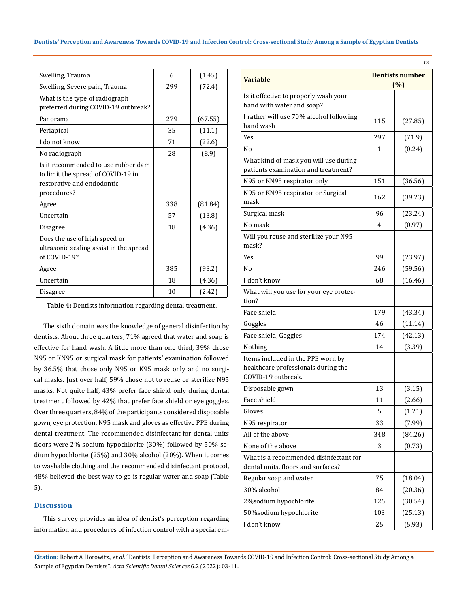| Swelling, Trauma                                                                                                       | 6   | (1.45)  |
|------------------------------------------------------------------------------------------------------------------------|-----|---------|
| Swelling, Severe pain, Trauma                                                                                          | 299 | (72.4)  |
| What is the type of radiograph<br>preferred during COVID-19 outbreak?                                                  |     |         |
| Panorama                                                                                                               | 279 | (67.55) |
| Periapical                                                                                                             | 35  | (11.1)  |
| I do not know                                                                                                          | 71  | (22.6)  |
| No radiograph                                                                                                          | 28  | (8.9)   |
| Is it recommended to use rubber dam<br>to limit the spread of COVID-19 in<br>restorative and endodontic<br>procedures? |     |         |
| Agree                                                                                                                  | 338 | (81.84) |
| Uncertain                                                                                                              | 57  | (13.8)  |
| Disagree                                                                                                               | 18  | (4.36)  |
| Does the use of high speed or<br>ultrasonic scaling assist in the spread<br>of COVID-19?                               |     |         |
| Agree                                                                                                                  | 385 | (93.2)  |
| Uncertain                                                                                                              | 18  | (4.36)  |
| Disagree                                                                                                               | 10  | (2.42)  |

**Table 4:** Dentists information regarding dental treatment.

The sixth domain was the knowledge of general disinfection by dentists. About three quarters, 71% agreed that water and soap is effective for hand wash. A little more than one third, 39% chose N95 or KN95 or surgical mask for patients' examination followed by 36.5% that chose only N95 or K95 mask only and no surgical masks. Just over half, 59% chose not to reuse or sterilize N95 masks. Not quite half, 43% prefer face shield only during dental treatment followed by 42% that prefer face shield or eye goggles. Over three quarters, 84% of the participants considered disposable gown, eye protection, N95 mask and gloves as effective PPE during dental treatment. The recommended disinfectant for dental units floors were 2% sodium hypochlorite (30%) followed by 50% sodium hypochlorite (25%) and 30% alcohol (20%). When it comes to washable clothing and the recommended disinfectant protocol, 48% believed the best way to go is regular water and soap (Table 5).

# **Discussion**

This survey provides an idea of dentist's perception regarding information and procedures of infection control with a special em-

| <b>Variable</b>                                                                                | <b>Dentists number</b><br>(%) |         |
|------------------------------------------------------------------------------------------------|-------------------------------|---------|
| Is it effective to properly wash your                                                          |                               |         |
| hand with water and soap?                                                                      |                               |         |
| I rather will use 70% alcohol following<br>hand wash                                           | 115                           | (27.85) |
| Yes                                                                                            | 297                           | (71.9)  |
| N <sub>0</sub>                                                                                 | 1                             | (0.24)  |
| What kind of mask you will use during<br>patients examination and treatment?                   |                               |         |
|                                                                                                | 151                           |         |
| N95 or KN95 respirator only                                                                    |                               | (36.56) |
| N95 or KN95 respirator or Surgical<br>mask                                                     | 162                           | (39.23) |
| Surgical mask                                                                                  | 96                            | (23.24) |
| No mask                                                                                        | 4                             | (0.97)  |
| Will you reuse and sterilize your N95<br>mask?                                                 |                               |         |
| Yes                                                                                            | 99                            | (23.97) |
| No                                                                                             | 246                           | (59.56) |
| I don't know                                                                                   | 68                            | (16.46) |
| What will you use for your eye protec-<br>tion?                                                |                               |         |
| Face shield                                                                                    | 179                           | (43.34) |
| Goggles                                                                                        | 46                            | (11.14) |
| Face shield, Goggles                                                                           | 174                           | (42.13) |
| Nothing                                                                                        | 14                            | (3.39)  |
| Items included in the PPE worn by<br>healthcare professionals during the<br>COVID-19 outbreak. |                               |         |
| Disposable gown                                                                                | 13                            | (3.15)  |
| Face shield                                                                                    | 11                            | (2.66)  |
| Gloves                                                                                         | 5                             | (1.21)  |
| N95 respirator                                                                                 | 33                            | (7.99)  |
| All of the above                                                                               | 348                           | (84.26) |
| None of the above                                                                              | 3                             | (0.73)  |
| What is a recommended disinfectant for<br>dental units, floors and surfaces?                   |                               |         |
| Regular soap and water                                                                         | 75                            | (18.04) |
| 30% alcohol                                                                                    | 84                            | (20.36) |
| 2%sodium hypochlorite                                                                          | 126                           | (30.54) |
| 50%sodium hypochlorite                                                                         | 103                           | (25.13) |
| I don't know                                                                                   | 25                            | (5.93)  |

**Citation:** Robert A Horowitz*., et al.* "Dentists' Perception and Awareness Towards COVID-19 and Infection Control: Cross-sectional Study Among a Sample of Egyptian Dentists". *Acta Scientific Dental Sciences* 6.2 (2022): 03-11.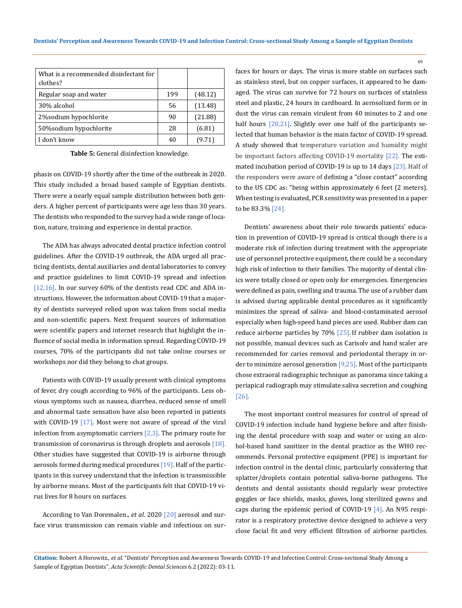| What is a recommended disinfectant for<br>clothes? |     |         |
|----------------------------------------------------|-----|---------|
| Regular soap and water                             | 199 | (48.12) |
| 30% alcohol                                        | 56  | (13.48) |
| 2% sodium hypochlorite                             | 90  | (21.88) |
| 50% sodium hypochlorite                            | 28  | (6.81)  |
| I don't know                                       | 40  | (9.71)  |

**Table 5:** General disinfection knowledge.

phasis on COVID-19 shortly after the time of the outbreak in 2020. This study included a broad based sample of Egyptian dentists. There were a nearly equal sample distribution between both genders. A higher percent of participants were age less than 30 years. The dentists who responded to the survey had a wide range of location, nature, training and experience in dental practice.

The ADA has always advocated dental practice infection control guidelines. After the COVID-19 outbreak, the ADA urged all practicing dentists, dental auxiliaries and dental laboratories to convey and practice guidelines to limit COVID-19 spread and infection [12,16]. In our survey 60% of the dentists read CDC and ADA instructions. However, the information about COVID-19 that a majority of dentists surveyed relied upon was taken from social media and non-scientific papers. Next frequent sources of information were scientific papers and internet research that highlight the influence of social media in information spread. Regarding COVID-19 courses, 70% of the participants did not take online courses or workshops nor did they belong to chat groups.

Patients with COVID-19 usually present with clinical symptoms of fever, dry cough according to 96% of the participants. Less obvious symptoms such as nausea, diarrhea, reduced sense of smell and abnormal taste sensation have also been reported in patients with COVID-19  $[17]$ . Most were not aware of spread of the viral infection from asymptomatic carriers  $[2,3]$ . The primary route for transmission of coronavirus is through droplets and aerosols [18]. Other studies have suggested that COVID-19 is airborne through aerosols formed during medical procedures [19]. Half of the participants in this survey understand that the infection is transmissible by airborne means. Most of the participants felt that COVID-19 virus lives for 8 hours on surfaces.

According to Van Doremalen., *et al*. 2020 [20] aerosol and surface virus transmission can remain viable and infectious on surfaces for hours or days. The virus is more stable on surfaces such as stainless steel, but on copper surfaces, it appeared to be damaged. The virus can survive for 72 hours on surfaces of stainless steel and plastic, 24 hours in cardboard. In aerosolized form or in dust the virus can remain virulent from 40 minutes to 2 and one half hours [20,21]. Slightly over one half of the participants selected that human behavior is the main factor of COVID-19 spread. A study showed that temperature variation and humidity might be important factors affecting COVID-19 mortality [22]. The estimated incubation period of COVID-19 is up to 14 days [23]. Half of the responders were aware of defining a "close contact" according to the US CDC as: "being within approximately 6 feet (2 meters). When testing is evaluated, PCR sensitivity was presented in a paper to be 83.3% [24].

09

Dentists' awareness about their role towards patients' education in prevention of COVID-19 spread is critical though there is a moderate risk of infection during treatment with the appropriate use of personnel protective equipment, there could be a secondary high risk of infection to their families. The majority of dental clinics were totally closed or open only for emergencies. Emergencies were defined as pain, swelling and trauma. The use of a rubber dam is advised during applicable dental procedures as it significantly minimizes the spread of saliva- and blood-contaminated aerosol especially when high-speed hand pieces are used. Rubber dam can reduce airborne particles by 70% [25]. If rubber dam isolation is not possible, manual devices such as Carisolv and hand scaler are recommended for caries removal and periodontal therapy in order to minimize aerosol generation  $[9,25]$ . Most of the participants chose extraoral radiographic technique as panorama since taking a periapical radiograph may stimulate saliva secretion and coughing [26].

The most important control measures for control of spread of COVID-19 infection include hand hygiene before and after finishing the dental procedure with soap and water or using an alcohol-based hand sanitizer in the dental practice as the WHO recommends. Personal protective equipment (PPE) is important for infection control in the dental clinic, particularly considering that splatter/droplets contain potential saliva-borne pathogens. The dentists and dental assistants should regularly wear protective goggles or face shields, masks, gloves, long sterilized gowns and caps during the epidemic period of COVID-19 [4]. An N95 respirator is a respiratory protective device designed to achieve a very close facial fit and very efficient filtration of airborne particles.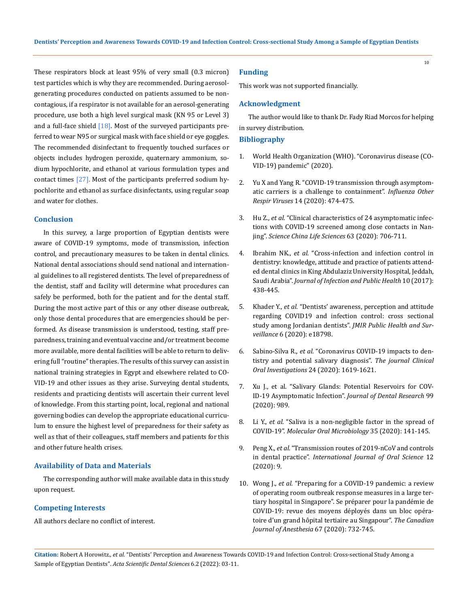These respirators block at least 95% of very small (0.3 micron) test particles which is why they are recommended. During aerosolgenerating procedures conducted on patients assumed to be noncontagious, if a respirator is not available for an aerosol-generating procedure, use both a high level surgical mask (KN 95 or Level 3) and a full-face shield  $[18]$ . Most of the surveyed participants preferred to wear N95 or surgical mask with face shield or eye goggles. The recommended disinfectant to frequently touched surfaces or objects includes hydrogen peroxide, quaternary ammonium, sodium hypochlorite, and ethanol at various formulation types and contact times  $[27]$ . Most of the participants preferred sodium hypochlorite and ethanol as surface disinfectants, using regular soap and water for clothes.

## **Conclusion**

In this survey, a large proportion of Egyptian dentists were aware of COVID-19 symptoms, mode of transmission, infection control, and precautionary measures to be taken in dental clinics. National dental associations should send national and international guidelines to all registered dentists. The level of preparedness of the dentist, staff and facility will determine what procedures can safely be performed, both for the patient and for the dental staff. During the most active part of this or any other disease outbreak, only those dental procedures that are emergencies should be performed. As disease transmission is understood, testing, staff preparedness, training and eventual vaccine and/or treatment become more available, more dental facilities will be able to return to delivering full "routine" therapies. The results of this survey can assist in national training strategies in Egypt and elsewhere related to CO-VID-19 and other issues as they arise. Surveying dental students, residents and practicing dentists will ascertain their current level of knowledge. From this starting point, local, regional and national governing bodies can develop the appropriate educational curriculum to ensure the highest level of preparedness for their safety as well as that of their colleagues, staff members and patients for this and other future health crises.

### **Availability of Data and Materials**

The corresponding author will make available data in this study upon request.

### **Competing Interests**

All authors declare no conflict of interest.

### **Funding**

This work was not supported financially.

### **Acknowledgment**

The author would like to thank Dr. Fady Riad Morcos for helping in survey distribution.

### **Bibliography**

- 1. [World Health Organization \(WHO\). "Coronavirus disease \(CO-](https://www.who.int/emergencies/diseases/novel-coronavirus-2019)[VID-19\) pandemic" \(2020\).](https://www.who.int/emergencies/diseases/novel-coronavirus-2019)
- 2. [Yu X and Yang R. "COVID-19 transmission through asymptom](https://pubmed.ncbi.nlm.nih.gov/32246886/)[atic carriers is a challenge to containment".](https://pubmed.ncbi.nlm.nih.gov/32246886/) *Influenza Other Respir Viruses* [14 \(2020\): 474-475.](https://pubmed.ncbi.nlm.nih.gov/32246886/)
- 3. Hu Z., *et al.* ["Clinical characteristics of 24 asymptomatic infec](https://pubmed.ncbi.nlm.nih.gov/32146694/)[tions with COVID-19 screened among close contacts in Nan](https://pubmed.ncbi.nlm.nih.gov/32146694/)jing". *[Science China Life Sciences](https://pubmed.ncbi.nlm.nih.gov/32146694/)* 63 (2020): 706-711.
- 4. Ibrahim NK., *et al.* ["Cross-infection and infection control in](https://www.sciencedirect.com/science/article/pii/S1876034116300910)  [dentistry: knowledge, attitude and practice of patients attend](https://www.sciencedirect.com/science/article/pii/S1876034116300910)[ed dental clinics in King Abdulaziz University Hospital, Jeddah,](https://www.sciencedirect.com/science/article/pii/S1876034116300910)  Saudi Arabia". *[Journal of Infection and Public Health](https://www.sciencedirect.com/science/article/pii/S1876034116300910)* 10 (2017): [438-445.](https://www.sciencedirect.com/science/article/pii/S1876034116300910)
- 5. Khader Y., *et al.* ["Dentists' awareness, perception and attitude](https://pubmed.ncbi.nlm.nih.gov/32250959/)  [regarding COVID19 and infection control: cross sectional](https://pubmed.ncbi.nlm.nih.gov/32250959/)  study among Jordanian dentists". *[JMIR Public Health and Sur](https://pubmed.ncbi.nlm.nih.gov/32250959/)veillance* [6 \(2020\): e18798.](https://pubmed.ncbi.nlm.nih.gov/32250959/)
- 6. Sabino-Silva R., *et al.* ["Coronavirus COVID-19 impacts to den](https://pubmed.ncbi.nlm.nih.gov/32078048/)[tistry and potential salivary diagnosis".](https://pubmed.ncbi.nlm.nih.gov/32078048/) *The journal Clinical [Oral Investigations](https://pubmed.ncbi.nlm.nih.gov/32078048/)* 24 (2020): 1619-1621.
- 7. [Xu J., et al. "Salivary Glands: Potential Reservoirs for COV-](https://pubmed.ncbi.nlm.nih.gov/32271653/)ID-19 Asymptomatic Infection". *[Journal of Dental Research](https://pubmed.ncbi.nlm.nih.gov/32271653/)* 99 [\(2020\): 989.](https://pubmed.ncbi.nlm.nih.gov/32271653/)
- 8. Li Y., *et al.* ["Saliva is a non-negligible factor in the spread of](https://pubmed.ncbi.nlm.nih.gov/32367576/)  COVID-19". *[Molecular Oral Microbiology](https://pubmed.ncbi.nlm.nih.gov/32367576/)* 35 (2020): 141-145.
- 9. Peng X., *et al.* ["Transmission routes of 2019-nCoV and controls](https://www.nature.com/articles/s41368-020-0075-9)  in dental practice". *[International Journal of Oral Science](https://www.nature.com/articles/s41368-020-0075-9)* 12 [\(2020\): 9.](https://www.nature.com/articles/s41368-020-0075-9)
- 10. Wong J., *et al.* ["Preparing for a COVID-19 pandemic: a review](https://pubmed.ncbi.nlm.nih.gov/32162212/)  [of operating room outbreak response measures in a large ter](https://pubmed.ncbi.nlm.nih.gov/32162212/)[tiary hospital in Singapore". Se préparer pour la pandémie de](https://pubmed.ncbi.nlm.nih.gov/32162212/)  [COVID-19: revue des moyens déployés dans un bloc opéra](https://pubmed.ncbi.nlm.nih.gov/32162212/)[toire d'un grand hôpital tertiaire au Singapour".](https://pubmed.ncbi.nlm.nih.gov/32162212/) *The Canadian [Journal of Anesthesia](https://pubmed.ncbi.nlm.nih.gov/32162212/)* 67 (2020): 732-745.

**Citation:** Robert A Horowitz*., et al.* "Dentists' Perception and Awareness Towards COVID-19 and Infection Control: Cross-sectional Study Among a Sample of Egyptian Dentists". *Acta Scientific Dental Sciences* 6.2 (2022): 03-11.